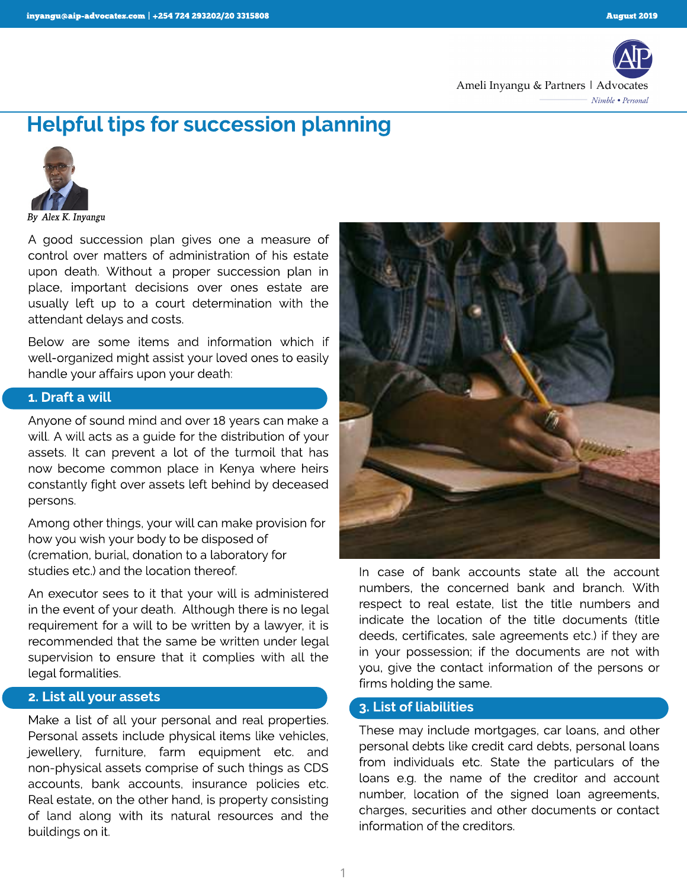

# Helpful tips for succession planning



**By Alex K. Inyangu**

A good succession plan gives one a measure of control over matters of administration of his estate upon death. Without a proper succession plan in place, important decisions over ones estate are usually left up to a court determination with the attendant delays and costs.

Below are some items and information which if well-organized might assist your loved ones to easily handle your affairs upon your death:

#### 1. Draft a will

Anyone of sound mind and over 18 years can make a will. A will acts as a guide for the distribution of your assets. It can prevent a lot of the turmoil that has now become common place in Kenya where heirs constantly fight over assets left behind by deceased persons.

Among other things, your will can make provision for how you wish your body to be disposed of (cremation, burial, donation to a laboratory for studies etc.) and the location thereof.

An executor sees to it that your will is administered in the event of your death. Although there is no legal requirement for a will to be written by a lawyer, it is recommended that the same be written under legal supervision to ensure that it complies with all the legal formalities.

#### 2. List all your assets

Make a list of all your personal and real properties. Personal assets include physical items like vehicles, jewellery, furniture, farm equipment etc. and non-physical assets comprise of such things as CDS accounts, bank accounts, insurance policies etc. Real estate, on the other hand, is property consisting of land along with its natural resources and the buildings on it.



In case of bank accounts state all the account numbers, the concerned bank and branch. With respect to real estate, list the title numbers and indicate the location of the title documents (title deeds, certificates, sale agreements etc.) if they are in your possession; if the documents are not with you, give the contact information of the persons or firms holding the same.

#### 3. List of liabilities

These may include mortgages, car loans, and other personal debts like credit card debts, personal loans from individuals etc. State the particulars of the loans e.g. the name of the creditor and account number, location of the signed loan agreements, charges, securities and other documents or contact information of the creditors.